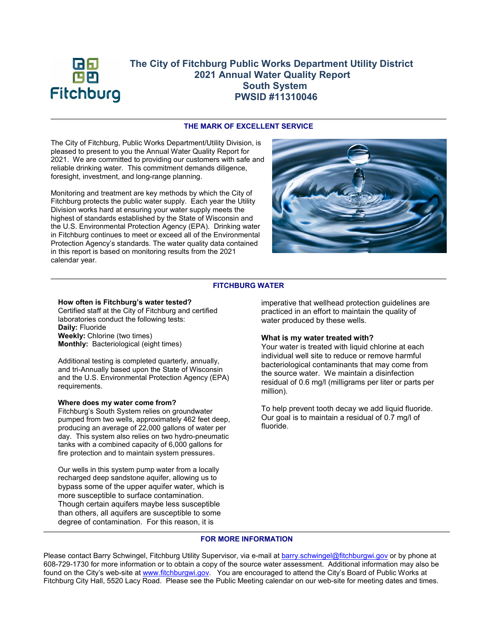

# **The City of Fitchburg Public Works Department Utility District 2021 Annual Water Quality Report South System PWSID #11310046**

## **THE MARK OF EXCELLENT SERVICE**

The City of Fitchburg, Public Works Department/Utility Division, is pleased to present to you the Annual Water Quality Report for 2021. We are committed to providing our customers with safe and reliable drinking water. This commitment demands diligence, foresight, investment, and long-range planning.

Monitoring and treatment are key methods by which the City of Fitchburg protects the public water supply. Each year the Utility Division works hard at ensuring your water supply meets the highest of standards established by the State of Wisconsin and the U.S. Environmental Protection Agency (EPA). Drinking water in Fitchburg continues to meet or exceed all of the Environmental Protection Agency's standards. The water quality data contained in this report is based on monitoring results from the 2021 calendar year.



## **FITCHBURG WATER**

#### **How often is Fitchburg's water tested?**

Certified staff at the City of Fitchburg and certified laboratories conduct the following tests: **Daily:** Fluoride **Weekly:** Chlorine (two times) **Monthly:** Bacteriological (eight times)

Additional testing is completed quarterly, annually, and tri-Annually based upon the State of Wisconsin and the U.S. Environmental Protection Agency (EPA) requirements.

#### **Where does my water come from?**

Fitchburg's South System relies on groundwater pumped from two wells, approximately 462 feet deep, producing an average of 22,000 gallons of water per day. This system also relies on two hydro-pneumatic tanks with a combined capacity of 6,000 gallons for fire protection and to maintain system pressures.

Our wells in this system pump water from a locally recharged deep sandstone aquifer, allowing us to bypass some of the upper aquifer water, which is more susceptible to surface contamination. Though certain aquifers maybe less susceptible than others, all aquifers are susceptible to some degree of contamination. For this reason, it is

imperative that wellhead protection guidelines are practiced in an effort to maintain the quality of water produced by these wells.

#### **What is my water treated with?**

Your water is treated with liquid chlorine at each individual well site to reduce or remove harmful bacteriological contaminants that may come from the source water. We maintain a disinfection residual of 0.6 mg/l (milligrams per liter or parts per million).

To help prevent tooth decay we add liquid fluoride. Our goal is to maintain a residual of 0.7 mg/l of fluoride.

#### **FOR MORE INFORMATION**

Please contact Barry Schwingel, Fitchburg Utility Supervisor, via e-mail at barry.schwingel@fitchburgwi.gov or by phone at 608-729-1730 for more information or to obtain a copy of the source water assessment. Additional information may also be found on the City's web-site at www.fitchburgwi.gov. You are encouraged to attend the City's Board of Public Works at Fitchburg City Hall, 5520 Lacy Road. Please see the Public Meeting calendar on our web-site for meeting dates and times.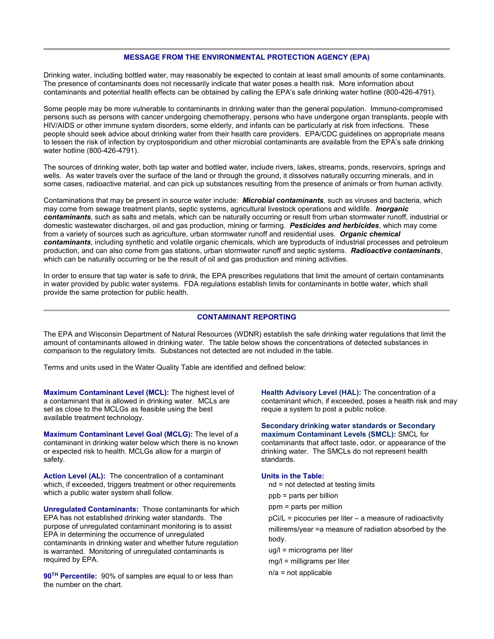#### **MESSAGE FROM THE ENVIRONMENTAL PROTECTION AGENCY (EPA)**

Drinking water, including bottled water, may reasonably be expected to contain at least small amounts of some contaminants. The presence of contaminants does not necessarily indicate that water poses a health risk. More information about contaminants and potential health effects can be obtained by calling the EPA's safe drinking water hotline (800-426-4791).

Some people may be more vulnerable to contaminants in drinking water than the general population. Immuno-compromised persons such as persons with cancer undergoing chemotherapy, persons who have undergone organ transplants, people with HIV/AIDS or other immune system disorders, some elderly, and infants can be particularly at risk from infections. These people should seek advice about drinking water from their health care providers. EPA/CDC guidelines on appropriate means to lessen the risk of infection by cryptosporidium and other microbial contaminants are available from the EPA's safe drinking water hotline (800-426-4791).

The sources of drinking water, both tap water and bottled water, include rivers, lakes, streams, ponds, reservoirs, springs and wells. As water travels over the surface of the land or through the ground, it dissolves naturally occurring minerals, and in some cases, radioactive material, and can pick up substances resulting from the presence of animals or from human activity.

Contaminations that may be present in source water include: *Microbial contaminants*, such as viruses and bacteria, which may come from sewage treatment plants, septic systems, agricultural livestock operations and wildlife. *Inorganic contaminants*, such as salts and metals, which can be naturally occurring or result from urban stormwater runoff, industrial or domestic wastewater discharges, oil and gas production, mining or farming. *Pesticides and herbicides*, which may come from a variety of sources such as agriculture, urban stormwater runoff and residential uses. *Organic chemical contaminants*, including synthetic and volatile organic chemicals, which are byproducts of industrial processes and petroleum production, and can also come from gas stations, urban stormwater runoff and septic systems. *Radioactive contaminants*, which can be naturally occurring or be the result of oil and gas production and mining activities.

In order to ensure that tap water is safe to drink, the EPA prescribes regulations that limit the amount of certain contaminants in water provided by public water systems. FDA regulations establish limits for contaminants in bottle water, which shall provide the same protection for public health.

## **CONTAMINANT REPORTING**

The EPA and Wisconsin Department of Natural Resources (WDNR) establish the safe drinking water regulations that limit the amount of contaminants allowed in drinking water. The table below shows the concentrations of detected substances in comparison to the regulatory limits. Substances not detected are not included in the table.

Terms and units used in the Water Quality Table are identified and defined below:

**Maximum Contaminant Level (MCL):** The highest level of a contaminant that is allowed in drinking water. MCLs are set as close to the MCLGs as feasible using the best available treatment technology.

**Maximum Contaminant Level Goal (MCLG):** The level of a contaminant in drinking water below which there is no known or expected risk to health. MCLGs allow for a margin of safety.

**Action Level (AL):** The concentration of a contaminant which, if exceeded, triggers treatment or other requirements which a public water system shall follow.

**Unregulated Contaminants:** Those contaminants for which EPA has not established drinking water standards. The purpose of unregulated contaminant monitoring is to assist EPA in determining the occurrence of unregulated contaminants in drinking water and whether future regulation is warranted. Monitoring of unregulated contaminants is required by EPA.

**90TH Percentile:** 90% of samples are equal to or less than the number on the chart.

**Health Advisory Level (HAL):** The concentration of a contaminant which, if exceeded, poses a health risk and may requie a system to post a public notice.

**Secondary drinking water standards or Secondary maximum Contaminant Levels (SMCL):** SMCL for contaminants that affect taste, odor, or appearance of the drinking water. The SMCLs do not represent health standards.

## **Units in the Table:**

- nd = not detected at testing limits
- ppb = parts per billion
- ppm = parts per million
- pCi/L = picocuries per liter a measure of radioactivity
- millirems/year =a measure of radiation absorbed by the body.
- ug/l = micrograms per liter
- mg/l = milligrams per liter
- n/a = not applicable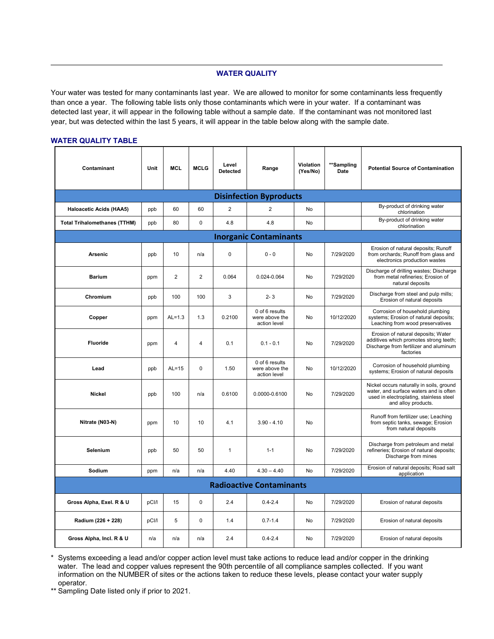# **WATER QUALITY**

Your water was tested for many contaminants last year. We are allowed to monitor for some contaminants less frequently than once a year. The following table lists only those contaminants which were in your water. If a contaminant was detected last year, it will appear in the following table without a sample date. If the contaminant was not monitored last year, but was detected within the last 5 years, it will appear in the table below along with the sample date.

## **WATER QUALITY TABLE**

| Contaminant                         | Unit  | <b>MCL</b> | <b>MCLG</b>    | Level<br><b>Detected</b> | Range                                            | <b>Violation</b><br>(Yes/No) | **Sampling<br>Date | <b>Potential Source of Contamination</b>                                                                                                             |  |
|-------------------------------------|-------|------------|----------------|--------------------------|--------------------------------------------------|------------------------------|--------------------|------------------------------------------------------------------------------------------------------------------------------------------------------|--|
| <b>Disinfection Byproducts</b>      |       |            |                |                          |                                                  |                              |                    |                                                                                                                                                      |  |
| <b>Haloacetic Acids (HAA5)</b>      | ppb   | 60         | 60             | $\overline{2}$           | $\overline{2}$                                   | No                           |                    | By-product of drinking water<br>chlorination                                                                                                         |  |
| <b>Total Trihalomethanes (TTHM)</b> | ppb   | 80         | $\mathbf 0$    | 4.8                      | 4.8                                              | No                           |                    | By-product of drinking water<br>chlorination                                                                                                         |  |
| <b>Inorganic Contaminants</b>       |       |            |                |                          |                                                  |                              |                    |                                                                                                                                                      |  |
| <b>Arsenic</b>                      | ppb   | 10         | n/a            | 0                        | $0 - 0$                                          | <b>No</b><br>7/29/2020       |                    | Erosion of natural deposits; Runoff<br>from orchards; Runoff from glass and<br>electronics production wastes                                         |  |
| <b>Barium</b>                       | ppm   | 2          | $\overline{2}$ | 0.064                    | 0.024-0.064                                      | No                           | 7/29/2020          | Discharge of drilling wastes; Discharge<br>from metal refineries; Erosion of<br>natural deposits                                                     |  |
| Chromium                            | ppb   | 100        | 100            | 3                        | $2 - 3$                                          | No                           | 7/29/2020          | Discharge from steel and pulp mills;<br>Erosion of natural deposits                                                                                  |  |
| Copper                              | ppm   | $AL=1.3$   | 1.3            | 0.2100                   | 0 of 6 results<br>were above the<br>action level | No                           | 10/12/2020         | Corrosion of household plumbing<br>systems; Erosion of natural deposits;<br>Leaching from wood preservatives                                         |  |
| <b>Fluoride</b>                     | ppm   | 4          | $\overline{4}$ | 0.1                      | $0.1 - 0.1$                                      | No                           | 7/29/2020          | Erosion of natural deposits; Water<br>additives which promotes strong teeth;<br>Discharge from fertilizer and aluminum<br>factories                  |  |
| Lead                                | ppb   | $AL=15$    | $\Omega$       | 1.50                     | 0 of 6 results<br>were above the<br>action level | No                           | 10/12/2020         | Corrosion of household plumbing<br>systems; Erosion of natural deposits                                                                              |  |
| <b>Nickel</b>                       | ppb   | 100        | n/a            | 0.6100                   | 0.0000-0.6100                                    | No                           | 7/29/2020          | Nickel occurs naturally in soils, ground<br>water, and surface waters and is often<br>used in electroplating, stainless steel<br>and alloy products. |  |
| Nitrate (N03-N)                     | ppm   | 10         | 10             | 4.1                      | $3.90 - 4.10$                                    | No                           |                    | Runoff from fertilizer use; Leaching<br>from septic tanks, sewage; Erosion<br>from natural deposits                                                  |  |
| Selenium                            | ppb   | 50         | 50             | $\mathbf{1}$             | $1 - 1$                                          | No                           | 7/29/2020          | Discharge from petroleum and metal<br>refineries; Erosion of natural deposits;<br>Discharge from mines                                               |  |
| Sodium                              | ppm   | n/a        | n/a            | 4.40                     | $4.30 - 4.40$                                    | No                           | 7/29/2020          | Erosion of natural deposits; Road salt<br>application                                                                                                |  |
| <b>Radioactive Contaminants</b>     |       |            |                |                          |                                                  |                              |                    |                                                                                                                                                      |  |
| Gross Alpha, Exel. R & U            | pCl/l | 15         | $\mathbf 0$    | 2.4                      | $0.4 - 2.4$                                      | No                           | 7/29/2020          | Erosion of natural deposits                                                                                                                          |  |
| Radium (226 + 228)                  | pCl/l | 5          | $\mathbf 0$    | 1.4                      | $0.7 - 1.4$                                      | No                           | 7/29/2020          | Erosion of natural deposits                                                                                                                          |  |
| Gross Alpha, Incl. R & U            | n/a   | n/a        | n/a            | 2.4                      | $0.4 - 2.4$                                      | No                           | 7/29/2020          | Erosion of natural deposits                                                                                                                          |  |

\* Systems exceeding a lead and/or copper action level must take actions to reduce lead and/or copper in the drinking water. The lead and copper values represent the 90th percentile of all compliance samples collected. If you want information on the NUMBER of sites or the actions taken to reduce these levels, please contact your water supply operator.

\*\* Sampling Date listed only if prior to 2021.